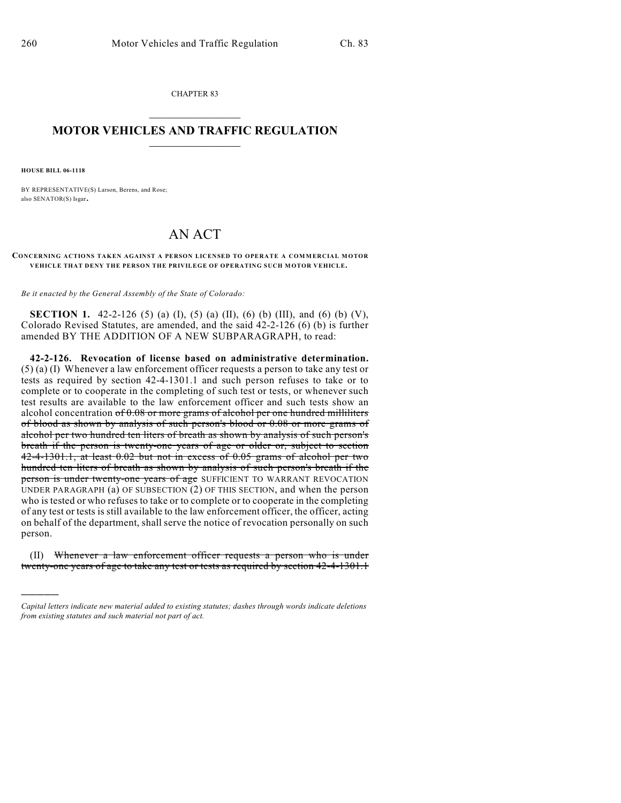CHAPTER 83  $\overline{\phantom{a}}$  . The set of the set of the set of the set of the set of the set of the set of the set of the set of the set of the set of the set of the set of the set of the set of the set of the set of the set of the set o

## **MOTOR VEHICLES AND TRAFFIC REGULATION**  $\frac{1}{2}$  ,  $\frac{1}{2}$  ,  $\frac{1}{2}$  ,  $\frac{1}{2}$  ,  $\frac{1}{2}$  ,  $\frac{1}{2}$  ,  $\frac{1}{2}$  ,  $\frac{1}{2}$

**HOUSE BILL 06-1118**

)))))

BY REPRESENTATIVE(S) Larson, Berens, and Rose; also SENATOR(S) Isgar.

## AN ACT

**CONCERNING ACTIONS TAKEN AGAINST A PERSON LICENSED TO OPERATE A COMMERCIAL MOTOR VEHICLE THAT DENY THE PERSON THE PRIVILEGE OF OPERATING SUCH MOTOR VEHICLE.**

*Be it enacted by the General Assembly of the State of Colorado:*

**SECTION 1.** 42-2-126 (5) (a) (I), (5) (a) (II), (6) (b) (III), and (6) (b) (V), Colorado Revised Statutes, are amended, and the said 42-2-126 (6) (b) is further amended BY THE ADDITION OF A NEW SUBPARAGRAPH, to read:

**42-2-126. Revocation of license based on administrative determination.** (5) (a) (I) Whenever a law enforcement officer requests a person to take any test or tests as required by section 42-4-1301.1 and such person refuses to take or to complete or to cooperate in the completing of such test or tests, or whenever such test results are available to the law enforcement officer and such tests show an alcohol concentration of 0.08 or more grams of alcohol per one hundred milliliters of blood as shown by analysis of such person's blood or 0.08 or more grams of alcohol per two hundred ten liters of breath as shown by analysis of such person's breath if the person is twenty-one years of age or older or, subject to section 42-4-1301.1, at least 0.02 but not in excess of 0.05 grams of alcohol per two hundred ten liters of breath as shown by analysis of such person's breath if the person is under twenty-one years of age SUFFICIENT TO WARRANT REVOCATION UNDER PARAGRAPH (a) OF SUBSECTION (2) OF THIS SECTION, and when the person who is tested or who refuses to take or to complete or to cooperate in the completing of any test or tests is still available to the law enforcement officer, the officer, acting on behalf of the department, shall serve the notice of revocation personally on such person.

(II) Whenever a law enforcement officer requests a person who is under twenty-one years of age to take any test or tests as required by section 42-4-1301.1

*Capital letters indicate new material added to existing statutes; dashes through words indicate deletions from existing statutes and such material not part of act.*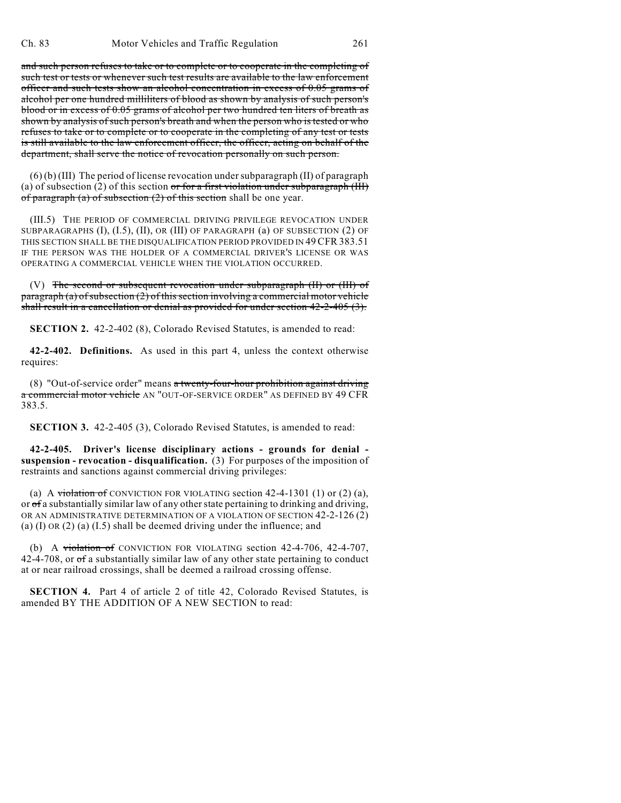and such person refuses to take or to complete or to cooperate in the completing of such test or tests or whenever such test results are available to the law enforcement officer and such tests show an alcohol concentration in excess of 0.05 grams of alcohol per one hundred milliliters of blood as shown by analysis of such person's blood or in excess of 0.05 grams of alcohol per two hundred ten liters of breath as shown by analysis of such person's breath and when the person who is tested or who refuses to take or to complete or to cooperate in the completing of any test or tests is still available to the law enforcement officer, the officer, acting on behalf of the department, shall serve the notice of revocation personally on such person.

(6) (b) (III) The period of license revocation under subparagraph (II) of paragraph (a) of subsection (2) of this section or for a first violation under subparagraph (III) of paragraph (a) of subsection  $(2)$  of this section shall be one year.

(III.5) THE PERIOD OF COMMERCIAL DRIVING PRIVILEGE REVOCATION UNDER SUBPARAGRAPHS (I), (I.5), (II), OR (III) OF PARAGRAPH (a) OF SUBSECTION (2) OF THIS SECTION SHALL BE THE DISQUALIFICATION PERIOD PROVIDED IN 49CFR 383.51 IF THE PERSON WAS THE HOLDER OF A COMMERCIAL DRIVER'S LICENSE OR WAS OPERATING A COMMERCIAL VEHICLE WHEN THE VIOLATION OCCURRED.

(V) The second or subsequent revocation under subparagraph (II) or (III) of  $paragnh (a) of subsection (2) of this section involving a commercial motor vehicle$ shall result in a cancellation or denial as provided for under section 42-2-405 (3).

**SECTION 2.** 42-2-402 (8), Colorado Revised Statutes, is amended to read:

**42-2-402. Definitions.** As used in this part 4, unless the context otherwise requires:

(8) "Out-of-service order" means a twenty-four-hour prohibition against driving a commercial motor vehicle AN "OUT-OF-SERVICE ORDER" AS DEFINED BY 49 CFR 383.5.

**SECTION 3.** 42-2-405 (3), Colorado Revised Statutes, is amended to read:

**42-2-405. Driver's license disciplinary actions - grounds for denial suspension - revocation - disqualification.** (3) For purposes of the imposition of restraints and sanctions against commercial driving privileges:

(a) A violation of CONVICTION FOR VIOLATING section  $42-4-1301$  (1) or (2) (a), or of a substantially similar law of any other state pertaining to drinking and driving, OR AN ADMINISTRATIVE DETERMINATION OF A VIOLATION OF SECTION 42-2-126 (2) (a) (I) OR (2) (a) (I.5) shall be deemed driving under the influence; and

(b) A violation of CONVICTION FOR VIOLATING section 42-4-706, 42-4-707,  $42-4-708$ , or  $\sigma f$  a substantially similar law of any other state pertaining to conduct at or near railroad crossings, shall be deemed a railroad crossing offense.

**SECTION 4.** Part 4 of article 2 of title 42, Colorado Revised Statutes, is amended BY THE ADDITION OF A NEW SECTION to read: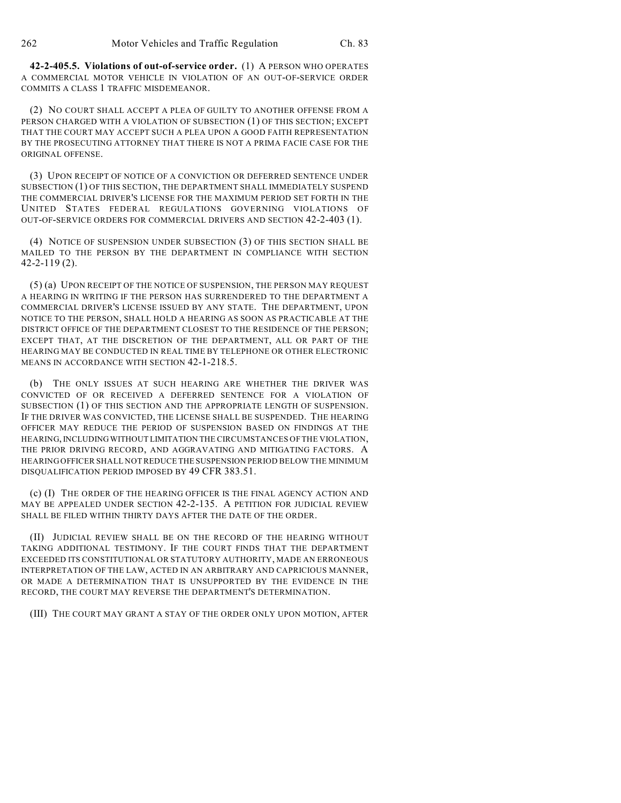**42-2-405.5. Violations of out-of-service order.** (1) A PERSON WHO OPERATES A COMMERCIAL MOTOR VEHICLE IN VIOLATION OF AN OUT-OF-SERVICE ORDER COMMITS A CLASS 1 TRAFFIC MISDEMEANOR.

(2) NO COURT SHALL ACCEPT A PLEA OF GUILTY TO ANOTHER OFFENSE FROM A PERSON CHARGED WITH A VIOLATION OF SUBSECTION (1) OF THIS SECTION; EXCEPT THAT THE COURT MAY ACCEPT SUCH A PLEA UPON A GOOD FAITH REPRESENTATION BY THE PROSECUTING ATTORNEY THAT THERE IS NOT A PRIMA FACIE CASE FOR THE ORIGINAL OFFENSE.

(3) UPON RECEIPT OF NOTICE OF A CONVICTION OR DEFERRED SENTENCE UNDER SUBSECTION (1) OF THIS SECTION, THE DEPARTMENT SHALL IMMEDIATELY SUSPEND THE COMMERCIAL DRIVER'S LICENSE FOR THE MAXIMUM PERIOD SET FORTH IN THE UNITED STATES FEDERAL REGULATIONS GOVERNING VIOLATIONS OF OUT-OF-SERVICE ORDERS FOR COMMERCIAL DRIVERS AND SECTION 42-2-403 (1).

(4) NOTICE OF SUSPENSION UNDER SUBSECTION (3) OF THIS SECTION SHALL BE MAILED TO THE PERSON BY THE DEPARTMENT IN COMPLIANCE WITH SECTION 42-2-119 (2).

(5) (a) UPON RECEIPT OF THE NOTICE OF SUSPENSION, THE PERSON MAY REQUEST A HEARING IN WRITING IF THE PERSON HAS SURRENDERED TO THE DEPARTMENT A COMMERCIAL DRIVER'S LICENSE ISSUED BY ANY STATE. THE DEPARTMENT, UPON NOTICE TO THE PERSON, SHALL HOLD A HEARING AS SOON AS PRACTICABLE AT THE DISTRICT OFFICE OF THE DEPARTMENT CLOSEST TO THE RESIDENCE OF THE PERSON; EXCEPT THAT, AT THE DISCRETION OF THE DEPARTMENT, ALL OR PART OF THE HEARING MAY BE CONDUCTED IN REAL TIME BY TELEPHONE OR OTHER ELECTRONIC MEANS IN ACCORDANCE WITH SECTION 42-1-218.5.

(b) THE ONLY ISSUES AT SUCH HEARING ARE WHETHER THE DRIVER WAS CONVICTED OF OR RECEIVED A DEFERRED SENTENCE FOR A VIOLATION OF SUBSECTION (1) OF THIS SECTION AND THE APPROPRIATE LENGTH OF SUSPENSION. IF THE DRIVER WAS CONVICTED, THE LICENSE SHALL BE SUSPENDED. THE HEARING OFFICER MAY REDUCE THE PERIOD OF SUSPENSION BASED ON FINDINGS AT THE HEARING, INCLUDING WITHOUT LIMITATION THE CIRCUMSTANCES OF THE VIOLATION, THE PRIOR DRIVING RECORD, AND AGGRAVATING AND MITIGATING FACTORS. A HEARING OFFICER SHALL NOT REDUCE THE SUSPENSION PERIOD BELOW THE MINIMUM DISQUALIFICATION PERIOD IMPOSED BY 49 CFR 383.51.

(c) (I) THE ORDER OF THE HEARING OFFICER IS THE FINAL AGENCY ACTION AND MAY BE APPEALED UNDER SECTION 42-2-135. A PETITION FOR JUDICIAL REVIEW SHALL BE FILED WITHIN THIRTY DAYS AFTER THE DATE OF THE ORDER.

(II) JUDICIAL REVIEW SHALL BE ON THE RECORD OF THE HEARING WITHOUT TAKING ADDITIONAL TESTIMONY. IF THE COURT FINDS THAT THE DEPARTMENT EXCEEDED ITS CONSTITUTIONAL OR STATUTORY AUTHORITY, MADE AN ERRONEOUS INTERPRETATION OF THE LAW, ACTED IN AN ARBITRARY AND CAPRICIOUS MANNER, OR MADE A DETERMINATION THAT IS UNSUPPORTED BY THE EVIDENCE IN THE RECORD, THE COURT MAY REVERSE THE DEPARTMENT'S DETERMINATION.

(III) THE COURT MAY GRANT A STAY OF THE ORDER ONLY UPON MOTION, AFTER